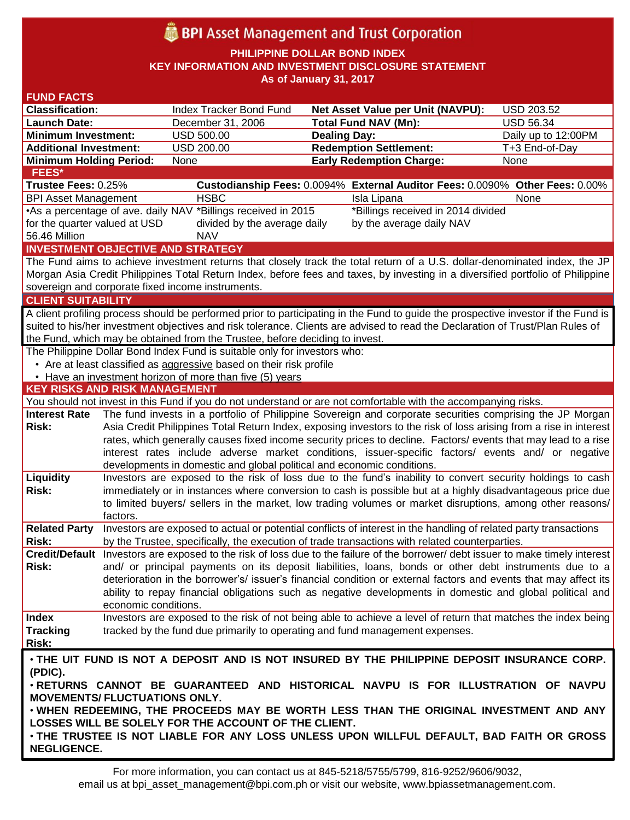# **BPI** Asset Management and Trust Corporation

**PHILIPPINE DOLLAR BOND INDEX**

**KEY INFORMATION AND INVESTMENT DISCLOSURE STATEMENT**

**As of January 31, 2017**

| <b>FUND FACTS</b>                                                                                                              |                                                                                                                    |                                                                              |                                                                                                                                    |                     |  |  |  |  |
|--------------------------------------------------------------------------------------------------------------------------------|--------------------------------------------------------------------------------------------------------------------|------------------------------------------------------------------------------|------------------------------------------------------------------------------------------------------------------------------------|---------------------|--|--|--|--|
| <b>Classification:</b>                                                                                                         |                                                                                                                    | Index Tracker Bond Fund                                                      | <b>Net Asset Value per Unit (NAVPU):</b>                                                                                           | <b>USD 203.52</b>   |  |  |  |  |
| <b>Launch Date:</b>                                                                                                            |                                                                                                                    | December 31, 2006                                                            | <b>Total Fund NAV (Mn):</b>                                                                                                        | <b>USD 56.34</b>    |  |  |  |  |
| <b>Minimum Investment:</b>                                                                                                     |                                                                                                                    | <b>USD 500.00</b>                                                            | <b>Dealing Day:</b>                                                                                                                | Daily up to 12:00PM |  |  |  |  |
| <b>Additional Investment:</b>                                                                                                  |                                                                                                                    | USD 200.00                                                                   | <b>Redemption Settlement:</b>                                                                                                      | T+3 End-of-Day      |  |  |  |  |
| <b>Minimum Holding Period:</b>                                                                                                 |                                                                                                                    | None                                                                         | <b>Early Redemption Charge:</b>                                                                                                    | None                |  |  |  |  |
| FEES*                                                                                                                          |                                                                                                                    |                                                                              |                                                                                                                                    |                     |  |  |  |  |
| Trustee Fees: 0.25%                                                                                                            |                                                                                                                    |                                                                              | Custodianship Fees: 0.0094% External Auditor Fees: 0.0090% Other Fees: 0.00%                                                       |                     |  |  |  |  |
| <b>BPI Asset Management</b>                                                                                                    |                                                                                                                    | <b>HSBC</b>                                                                  | Isla Lipana                                                                                                                        | None                |  |  |  |  |
| *Billings received in 2014 divided<br>•As a percentage of ave. daily NAV *Billings received in 2015                            |                                                                                                                    |                                                                              |                                                                                                                                    |                     |  |  |  |  |
| for the quarter valued at USD                                                                                                  |                                                                                                                    | divided by the average daily                                                 | by the average daily NAV                                                                                                           |                     |  |  |  |  |
| 56.46 Million                                                                                                                  |                                                                                                                    | <b>NAV</b>                                                                   |                                                                                                                                    |                     |  |  |  |  |
| <b>INVESTMENT OBJECTIVE AND STRATEGY</b>                                                                                       |                                                                                                                    |                                                                              |                                                                                                                                    |                     |  |  |  |  |
|                                                                                                                                |                                                                                                                    |                                                                              | The Fund aims to achieve investment returns that closely track the total return of a U.S. dollar-denominated index, the JP         |                     |  |  |  |  |
|                                                                                                                                |                                                                                                                    |                                                                              | Morgan Asia Credit Philippines Total Return Index, before fees and taxes, by investing in a diversified portfolio of Philippine    |                     |  |  |  |  |
|                                                                                                                                |                                                                                                                    | sovereign and corporate fixed income instruments.                            |                                                                                                                                    |                     |  |  |  |  |
| <b>CLIENT SUITABILITY</b>                                                                                                      |                                                                                                                    |                                                                              |                                                                                                                                    |                     |  |  |  |  |
|                                                                                                                                |                                                                                                                    |                                                                              | A client profiling process should be performed prior to participating in the Fund to guide the prospective investor if the Fund is |                     |  |  |  |  |
| suited to his/her investment objectives and risk tolerance. Clients are advised to read the Declaration of Trust/Plan Rules of |                                                                                                                    |                                                                              |                                                                                                                                    |                     |  |  |  |  |
|                                                                                                                                |                                                                                                                    | the Fund, which may be obtained from the Trustee, before deciding to invest. |                                                                                                                                    |                     |  |  |  |  |
|                                                                                                                                |                                                                                                                    | The Philippine Dollar Bond Index Fund is suitable only for investors who:    |                                                                                                                                    |                     |  |  |  |  |
|                                                                                                                                |                                                                                                                    | • Are at least classified as aggressive based on their risk profile          |                                                                                                                                    |                     |  |  |  |  |
|                                                                                                                                |                                                                                                                    | • Have an investment horizon of more than five (5) years                     |                                                                                                                                    |                     |  |  |  |  |
| <b>KEY RISKS AND RISK MANAGEMENT</b>                                                                                           |                                                                                                                    |                                                                              |                                                                                                                                    |                     |  |  |  |  |
|                                                                                                                                |                                                                                                                    |                                                                              | You should not invest in this Fund if you do not understand or are not comfortable with the accompanying risks.                    |                     |  |  |  |  |
| <b>Interest Rate</b>                                                                                                           |                                                                                                                    |                                                                              | The fund invests in a portfolio of Philippine Sovereign and corporate securities comprising the JP Morgan                          |                     |  |  |  |  |
| Risk:                                                                                                                          | Asia Credit Philippines Total Return Index, exposing investors to the risk of loss arising from a rise in interest |                                                                              |                                                                                                                                    |                     |  |  |  |  |
|                                                                                                                                | rates, which generally causes fixed income security prices to decline. Factors/ events that may lead to a rise     |                                                                              |                                                                                                                                    |                     |  |  |  |  |
|                                                                                                                                |                                                                                                                    |                                                                              | interest rates include adverse market conditions, issuer-specific factors/ events and/ or negative                                 |                     |  |  |  |  |
|                                                                                                                                |                                                                                                                    | developments in domestic and global political and economic conditions.       |                                                                                                                                    |                     |  |  |  |  |
| Liquidity                                                                                                                      |                                                                                                                    |                                                                              | Investors are exposed to the risk of loss due to the fund's inability to convert security holdings to cash                         |                     |  |  |  |  |
| Risk:                                                                                                                          | immediately or in instances where conversion to cash is possible but at a highly disadvantageous price due         |                                                                              |                                                                                                                                    |                     |  |  |  |  |
|                                                                                                                                |                                                                                                                    |                                                                              | to limited buyers/ sellers in the market, low trading volumes or market disruptions, among other reasons/                          |                     |  |  |  |  |
|                                                                                                                                | factors.                                                                                                           |                                                                              |                                                                                                                                    |                     |  |  |  |  |
| <b>Related Party</b>                                                                                                           |                                                                                                                    |                                                                              | Investors are exposed to actual or potential conflicts of interest in the handling of related party transactions                   |                     |  |  |  |  |
| Risk:                                                                                                                          |                                                                                                                    |                                                                              | by the Trustee, specifically, the execution of trade transactions with related counterparties.                                     |                     |  |  |  |  |
|                                                                                                                                |                                                                                                                    |                                                                              | Credit/Default Investors are exposed to the risk of loss due to the failure of the borrower/debt issuer to make timely interest    |                     |  |  |  |  |
| Risk:                                                                                                                          |                                                                                                                    |                                                                              | and/ or principal payments on its deposit liabilities, loans, bonds or other debt instruments due to a                             |                     |  |  |  |  |
|                                                                                                                                |                                                                                                                    |                                                                              | deterioration in the borrower's/ issuer's financial condition or external factors and events that may affect its                   |                     |  |  |  |  |
|                                                                                                                                |                                                                                                                    |                                                                              | ability to repay financial obligations such as negative developments in domestic and global political and                          |                     |  |  |  |  |
|                                                                                                                                | economic conditions.                                                                                               |                                                                              |                                                                                                                                    |                     |  |  |  |  |
| <b>Index</b>                                                                                                                   |                                                                                                                    |                                                                              | Investors are exposed to the risk of not being able to achieve a level of return that matches the index being                      |                     |  |  |  |  |
| <b>Tracking</b>                                                                                                                |                                                                                                                    |                                                                              | tracked by the fund due primarily to operating and fund management expenses.                                                       |                     |  |  |  |  |
| Risk:                                                                                                                          |                                                                                                                    |                                                                              |                                                                                                                                    |                     |  |  |  |  |
|                                                                                                                                |                                                                                                                    |                                                                              | . THE UIT FUND IS NOT A DEPOSIT AND IS NOT INSURED BY THE PHILIPPINE DEPOSIT INSURANCE CORP.                                       |                     |  |  |  |  |
| (PDIC).                                                                                                                        |                                                                                                                    |                                                                              |                                                                                                                                    |                     |  |  |  |  |
| . RETURNS CANNOT BE GUARANTEED AND HISTORICAL NAVPU IS FOR ILLUSTRATION OF NAVPU                                               |                                                                                                                    |                                                                              |                                                                                                                                    |                     |  |  |  |  |
| <b>MOVEMENTS/ FLUCTUATIONS ONLY.</b>                                                                                           |                                                                                                                    |                                                                              |                                                                                                                                    |                     |  |  |  |  |
| . WHEN REDEEMING, THE PROCEEDS MAY BE WORTH LESS THAN THE ORIGINAL INVESTMENT AND ANY                                          |                                                                                                                    |                                                                              |                                                                                                                                    |                     |  |  |  |  |
|                                                                                                                                |                                                                                                                    | LOSSES WILL BE SOLELY FOR THE ACCOUNT OF THE CLIENT.                         |                                                                                                                                    |                     |  |  |  |  |
| . THE TRUSTEE IS NOT LIABLE FOR ANY LOSS UNLESS UPON WILLFUL DEFAULT, BAD FAITH OR GROSS                                       |                                                                                                                    |                                                                              |                                                                                                                                    |                     |  |  |  |  |
| <b>NEGLIGENCE.</b>                                                                                                             |                                                                                                                    |                                                                              |                                                                                                                                    |                     |  |  |  |  |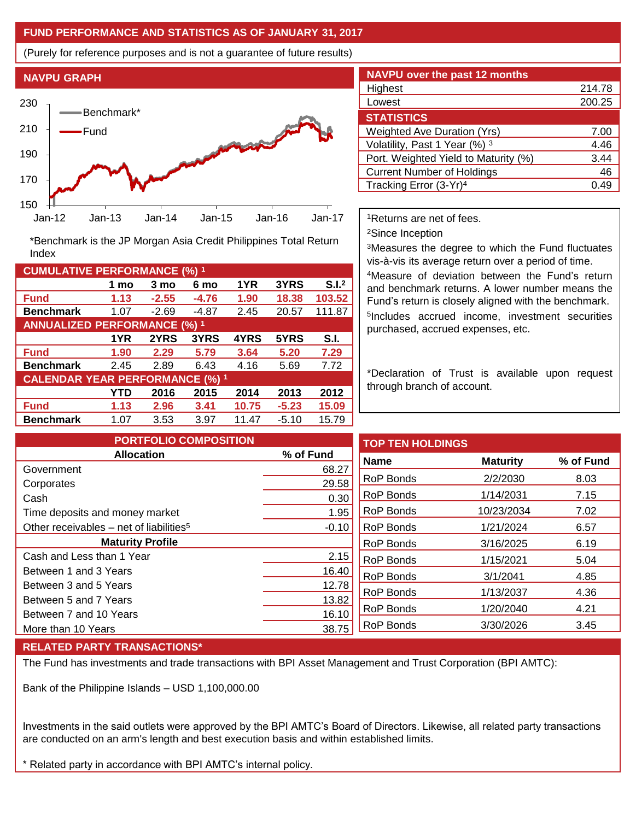## **FUND PERFORMANCE AND STATISTICS AS OF JANUARY 31, 2017**

(Purely for reference purposes and is not a guarantee of future results)



**Fund 1.13 -2.55 -4.76 1.90 18.38 103.52 Benchmark** 1.07 -2.69 -4.87 2.45 20.57 111.87

\*Benchmark is the JP Morgan Asia Credit Philippines Total Return

**Fund 1.90 2.29 5.79 3.64 5.20 7.29 Benchmark** 2.45 2.89 6.43 4.16 5.69 7.72

**Fund 1.13 2.96 3.41 10.75 -5.23 15.09 Benchmark** 1.07 3.53 3.97 11.47 -5.10 15.79

**1 mo 3 mo 6 mo 1YR 3YRS S.I.<sup>2</sup>**

**1YR 2YRS 3YRS 4YRS 5YRS S.I.**

**YTD 2016 2015 2014 2013 2012**

| <b>NAVPU over the past 12 months</b> |        |  |  |  |  |
|--------------------------------------|--------|--|--|--|--|
| Highest                              | 214.78 |  |  |  |  |
| Lowest                               | 200.25 |  |  |  |  |
| <b>STATISTICS</b>                    |        |  |  |  |  |
| <b>Weighted Ave Duration (Yrs)</b>   | 7.00   |  |  |  |  |
| Volatility, Past 1 Year (%) 3        | 4.46   |  |  |  |  |
| Port. Weighted Yield to Maturity (%) | 3.44   |  |  |  |  |
| <b>Current Number of Holdings</b>    | 46     |  |  |  |  |
| Tracking Error (3-Yr) <sup>4</sup>   | በ 49   |  |  |  |  |

<sup>1</sup>Returns are net of fees.

<sup>2</sup>Since Inception

<sup>3</sup>Measures the degree to which the Fund fluctuates vis-à-vis its average return over a period of time.

<sup>4</sup>Measure of deviation between the Fund's return and benchmark returns. A lower number means the Fund's return is closely aligned with the benchmark. 5 Includes accrued income, investment securities purchased, accrued expenses, etc.

\*Declaration of Trust is available upon request through branch of account.

| <b>PORTFOLIO COMPOSITION</b>                        |                  | <b>TOP TEN HOLDINGS</b> |                 |           |
|-----------------------------------------------------|------------------|-------------------------|-----------------|-----------|
| <b>Allocation</b>                                   | % of Fund        | <b>Name</b>             | <b>Maturity</b> | % of Fund |
| Government                                          | 68.27            |                         |                 |           |
| Corporates                                          | 29.58            | RoP Bonds               | 2/2/2030        | 8.03      |
| Cash                                                | 0.30             | RoP Bonds               | 1/14/2031       | 7.15      |
| Time deposits and money market                      | 1.95             | RoP Bonds               | 10/23/2034      | 7.02      |
| Other receivables - net of liabilities <sup>5</sup> | $-0.10$          | <b>RoP Bonds</b>        | 1/21/2024       | 6.57      |
| <b>Maturity Profile</b>                             | <b>RoP Bonds</b> | 3/16/2025               | 6.19            |           |
| Cash and Less than 1 Year                           | 2.15             | RoP Bonds               | 1/15/2021       | 5.04      |
| Between 1 and 3 Years                               | 16.40            | RoP Bonds               | 3/1/2041        | 4.85      |
| Between 3 and 5 Years                               | 12.78            | RoP Bonds               | 1/13/2037       | 4.36      |
| Between 5 and 7 Years                               | 13.82            |                         |                 |           |
| Between 7 and 10 Years                              | 16.10            | RoP Bonds               | 1/20/2040       | 4.21      |
| More than 10 Years                                  | 38.75            | RoP Bonds               | 3/30/2026       | 3.45      |

## **RELATED PARTY TRANSACTIONS\***

**CUMULATIVE PERFORMANCE (%) <sup>1</sup>**

Index

**ANNUALIZED PERFORMANCE (%) <sup>1</sup>**

**CALENDAR YEAR PERFORMANCE (%) <sup>1</sup>**

The Fund has investments and trade transactions with BPI Asset Management and Trust Corporation (BPI AMTC):

Bank of the Philippine Islands – USD 1,100,000.00

Investments in the said outlets were approved by the BPI AMTC's Board of Directors. Likewise, all related party transactions are conducted on an arm's length and best execution basis and within established limits.

\* Related party in accordance with BPI AMTC's internal policy.